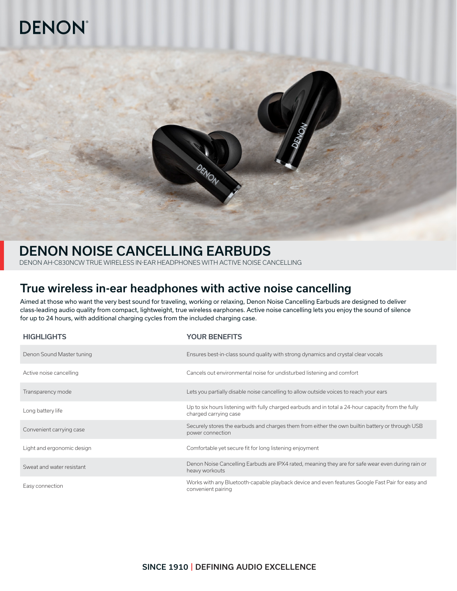# **DENON®**



## DENON NOISE CANCELLING EARBUDS

DENON AH-C830NCW TRUE WIRELESS IN-EAR HEADPHONES WITH ACTIVE NOISE CANCELLING

## True wireless in-ear headphones with active noise cancelling

Aimed at those who want the very best sound for traveling, working or relaxing, Denon Noise Cancelling Earbuds are designed to deliver class-leading audio quality from compact, lightweight, true wireless earphones. Active noise cancelling lets you enjoy the sound of silence for up to 24 hours, with additional charging cycles from the included charging case.

| <b>HIGHLIGHTS</b>          | <b>YOUR BENEFITS</b>                                                                                                         |
|----------------------------|------------------------------------------------------------------------------------------------------------------------------|
| Denon Sound Master tuning  | Ensures best-in-class sound quality with strong dynamics and crystal clear vocals                                            |
| Active noise cancelling    | Cancels out environmental noise for undisturbed listening and comfort                                                        |
| Transparency mode          | Lets you partially disable noise cancelling to allow outside voices to reach your ears                                       |
| Long battery life          | Up to six hours listening with fully charged earbuds and in total a 24-hour capacity from the fully<br>charged carrying case |
| Convenient carrying case   | Securely stores the earbuds and charges them from either the own builtin battery or through USB<br>power connection          |
| Light and ergonomic design | Comfortable yet secure fit for long listening enjoyment                                                                      |
| Sweat and water resistant  | Denon Noise Cancelling Earbuds are IPX4 rated, meaning they are for safe wear even during rain or<br>heavy workouts          |
| Easy connection            | Works with any Bluetooth-capable playback device and even features Google Fast Pair for easy and<br>convenient pairing       |